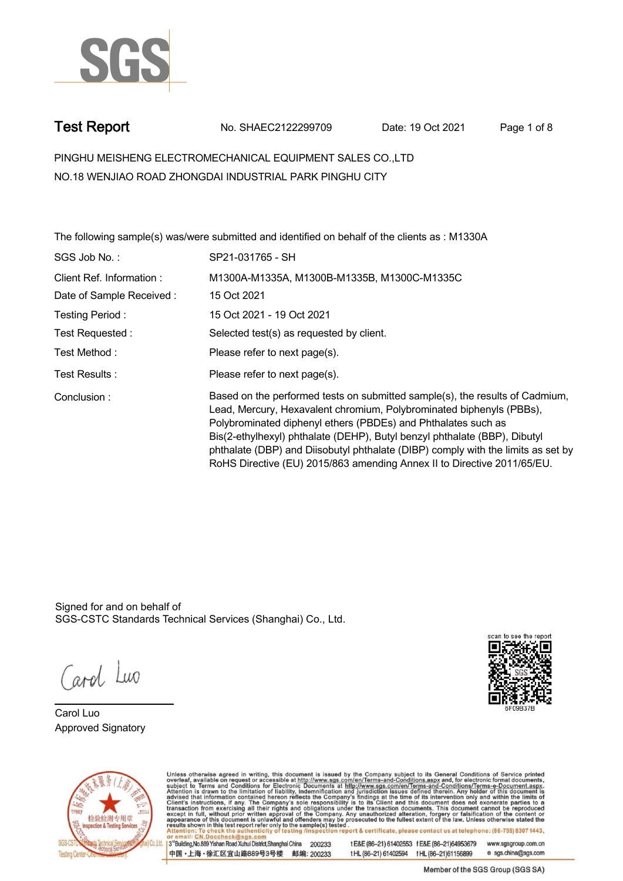

**Test Report. No. SHAEC2122299709 Date: 19 Oct 2021. Page 1 of 8.**

**PINGHU MEISHENG ELECTROMECHANICAL EQUIPMENT SALES CO.,LTD . NO.18 WENJIAO ROAD ZHONGDAI INDUSTRIAL PARK PINGHU CITY**

**The following sample(s) was/were submitted and identified on behalf of the clients as : M1330A .**

| SGS Job No.:             | SP21-031765 - SH                                                                                                                                                                                                                                                                                                                                                                                                                                                  |
|--------------------------|-------------------------------------------------------------------------------------------------------------------------------------------------------------------------------------------------------------------------------------------------------------------------------------------------------------------------------------------------------------------------------------------------------------------------------------------------------------------|
| Client Ref. Information: | M1300A-M1335A, M1300B-M1335B, M1300C-M1335C                                                                                                                                                                                                                                                                                                                                                                                                                       |
| Date of Sample Received: | 15 Oct 2021                                                                                                                                                                                                                                                                                                                                                                                                                                                       |
| Testing Period:          | 15 Oct 2021 - 19 Oct 2021                                                                                                                                                                                                                                                                                                                                                                                                                                         |
| Test Requested:          | Selected test(s) as requested by client.                                                                                                                                                                                                                                                                                                                                                                                                                          |
| Test Method :            | Please refer to next page(s).                                                                                                                                                                                                                                                                                                                                                                                                                                     |
| Test Results:            | Please refer to next page(s).                                                                                                                                                                                                                                                                                                                                                                                                                                     |
| Conclusion:              | Based on the performed tests on submitted sample(s), the results of Cadmium,<br>Lead, Mercury, Hexavalent chromium, Polybrominated biphenyls (PBBs),<br>Polybrominated diphenyl ethers (PBDEs) and Phthalates such as<br>Bis(2-ethylhexyl) phthalate (DEHP), Butyl benzyl phthalate (BBP), Dibutyl<br>phthalate (DBP) and Diisobutyl phthalate (DIBP) comply with the limits as set by<br>RoHS Directive (EU) 2015/863 amending Annex II to Directive 2011/65/EU. |

Signed for and on behalf of SGS-CSTC Standards Technical Services (Shanghai) Co., Ltd..

Carol Luo

**Carol Luo. Approved Signatory .**





Unless otherwise agreed in writing, this document is issued by the Company subject to its General Conditions of Service printed overleaf, available on request or accessible at http://www.sgs.com/en/Terms-and-Conditions.asp

13<sup>rd</sup> Building No.889 Yishan Road Xuhui District Shanghai China 200233 中国·上海·徐汇区宜山路889号3号楼 邮编: 200233 tE&E (86-21) 61402553 fE&E (86-21)64953679 www.sgsgroup.com.cn tHL (86-21) 61402594 fHL (86-21) 61156899 e sgs.china@sgs.com

Member of the SGS Group (SGS SA)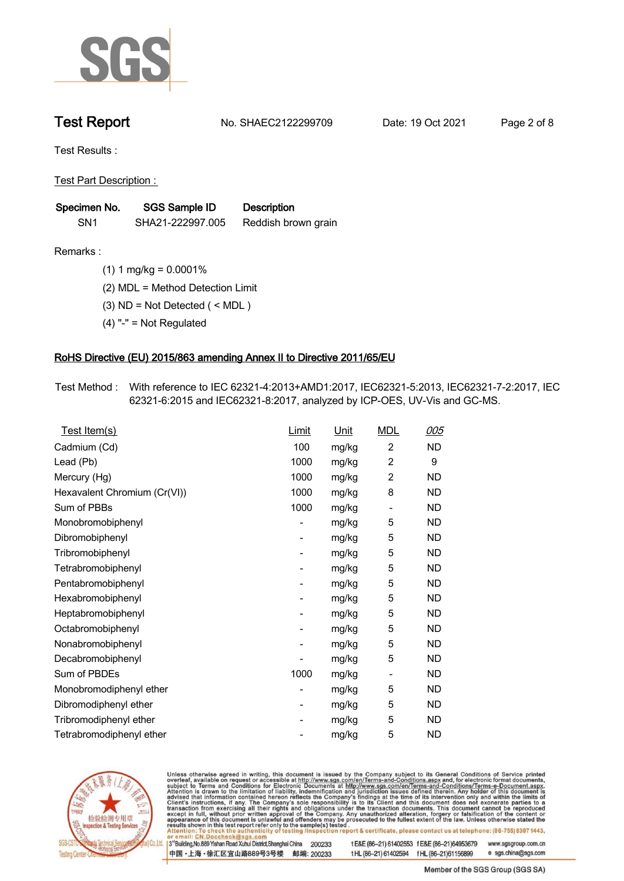

**Test Report. No. SHAEC2122299709 Date: 19 Oct 2021. Page 2 of 8.**

**Test Results :.**

**Test Part Description : .**

| Specimen No.    | <b>SGS Sample ID</b> | <b>Description</b>  |  |
|-----------------|----------------------|---------------------|--|
| SN <sub>1</sub> | SHA21-222997.005     | Reddish brown grain |  |

**Remarks :.(1) 1 mg/kg = 0.0001% .**

**(2) MDL = Method Detection Limit .**

**(3) ND = Not Detected ( < MDL ) .**

**(4) "-" = Not Regulated .**

### **RoHS Directive (EU) 2015/863 amending Annex II to Directive 2011/65/EU.**

**Test Method :. With reference to IEC 62321-4:2013+AMD1:2017, IEC62321-5:2013, IEC62321-7-2:2017, IEC 62321-6:2015 and IEC62321-8:2017, analyzed by ICP-OES, UV-Vis and GC-MS. .**

| Test Item(s)                 | Limit | <u>Unit</u> | <b>MDL</b>               | 005       |
|------------------------------|-------|-------------|--------------------------|-----------|
| Cadmium (Cd)                 | 100   | mg/kg       | $\overline{2}$           | ND        |
| Lead (Pb)                    | 1000  | mg/kg       | $\overline{2}$           | 9         |
| Mercury (Hg)                 | 1000  | mg/kg       | $\overline{2}$           | <b>ND</b> |
| Hexavalent Chromium (Cr(VI)) | 1000  | mg/kg       | 8                        | <b>ND</b> |
| Sum of PBBs                  | 1000  | mg/kg       | $\overline{a}$           | ND.       |
| Monobromobiphenyl            |       | mg/kg       | 5                        | ND.       |
| Dibromobiphenyl              | -     | mg/kg       | 5                        | ND.       |
| Tribromobiphenyl             |       | mg/kg       | 5                        | ND.       |
| Tetrabromobiphenyl           | -     | mg/kg       | 5                        | ND        |
| Pentabromobiphenyl           |       | mg/kg       | 5                        | <b>ND</b> |
| Hexabromobiphenyl            | -     | mg/kg       | 5                        | ND.       |
| Heptabromobiphenyl           |       | mg/kg       | 5                        | <b>ND</b> |
| Octabromobiphenyl            |       | mg/kg       | 5                        | ND        |
| Nonabromobiphenyl            |       | mg/kg       | 5                        | ND.       |
| Decabromobiphenyl            |       | mg/kg       | 5                        | ND        |
| Sum of PBDEs                 | 1000  | mg/kg       | $\overline{\phantom{a}}$ | ND.       |
| Monobromodiphenyl ether      |       | mg/kg       | 5                        | ND        |
| Dibromodiphenyl ether        | -     | mg/kg       | 5                        | ND.       |
| Tribromodiphenyl ether       | -     | mg/kg       | 5                        | <b>ND</b> |
| Tetrabromodiphenyl ether     |       | mg/kg       | 5                        | <b>ND</b> |



Unless otherwise agreed in writing, this document is issued by the Company subject to its General Conditions of Service printed overleaf, available on request or accessible at http://www.sgs.com/en/Terms-and-Conditions.asp

3<sup>rd</sup> Building, No.889 Yishan Road Xuhui District, Shanghai China 200233 中国·上海·徐汇区宜山路889号3号楼 邮编: 200233 tE&E (86-21) 61402553 fE&E (86-21)64953679 www.sgsgroup.com.cn

t HL (86-21) 61402594 f HL (86-21) 61156899 e sgs.china@sgs.com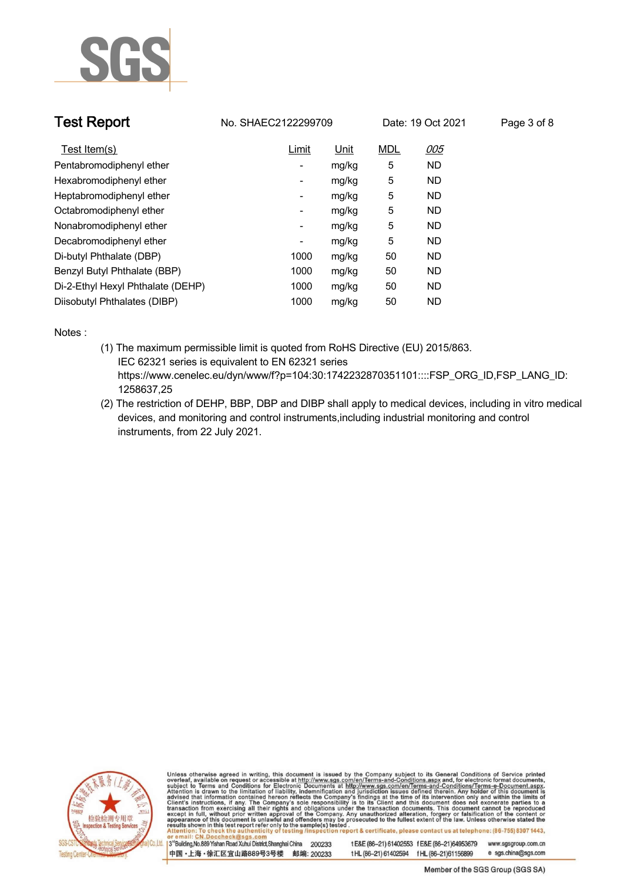

| <b>Test Report</b>                | No. SHAEC2122299709      |       | Date: 19 Oct 2021 |           |  |  | Page 3 of 8 |
|-----------------------------------|--------------------------|-------|-------------------|-----------|--|--|-------------|
| Test Item(s)                      | Limit                    | Unit  | <b>MDL</b>        | 005       |  |  |             |
| Pentabromodiphenyl ether          | -                        | mg/kg | 5                 | <b>ND</b> |  |  |             |
| Hexabromodiphenyl ether           | -                        | mg/kg | 5                 | ND.       |  |  |             |
| Heptabromodiphenyl ether          | $\overline{\phantom{a}}$ | mg/kg | 5                 | <b>ND</b> |  |  |             |
| Octabromodiphenyl ether           | $\overline{\phantom{a}}$ | mg/kg | 5                 | <b>ND</b> |  |  |             |
| Nonabromodiphenyl ether           | $\overline{\phantom{a}}$ | mg/kg | 5                 | <b>ND</b> |  |  |             |
| Decabromodiphenyl ether           | $\overline{\phantom{a}}$ | mg/kg | 5                 | ND.       |  |  |             |
| Di-butyl Phthalate (DBP)          | 1000                     | mg/kg | 50                | ND.       |  |  |             |
| Benzyl Butyl Phthalate (BBP)      | 1000                     | mg/kg | 50                | <b>ND</b> |  |  |             |
| Di-2-Ethyl Hexyl Phthalate (DEHP) | 1000                     | mg/kg | 50                | <b>ND</b> |  |  |             |
| Diisobutyl Phthalates (DIBP)      | 1000                     | mg/kg | 50                | ND.       |  |  |             |

**Notes :.**

- **(1) The maximum permissible limit is quoted from RoHS Directive (EU) 2015/863. IEC 62321 series is equivalent to EN 62321 series https://www.cenelec.eu/dyn/www/f?p=104:30:1742232870351101::::FSP\_ORG\_ID,FSP\_LANG\_ID: 1258637,25**
- **(2) The restriction of DEHP, BBP, DBP and DIBP shall apply to medical devices, including in vitro medical devices, and monitoring and control instruments,including industrial monitoring and control instruments, from 22 July 2021. .**



Unless otherwise agreed in writing, this document is issued by the Company subject to its General Conditions of Service printed overleaf, available on request or accessible at http://www.sgs.com/en/Terms-and-Conditions.asp

3<sup>14</sup> Building, No.889 Yishan Road Xuhui District, Shanghai China 200233 中国·上海·徐汇区宜山路889号3号楼 邮编: 200233 t E&E (86-21) 61402553 f E&E (86-21)64953679

www.sgsgroup.com.cn e sgs.china@sgs.com t HL (86-21) 61402594 f HL (86-21) 61156899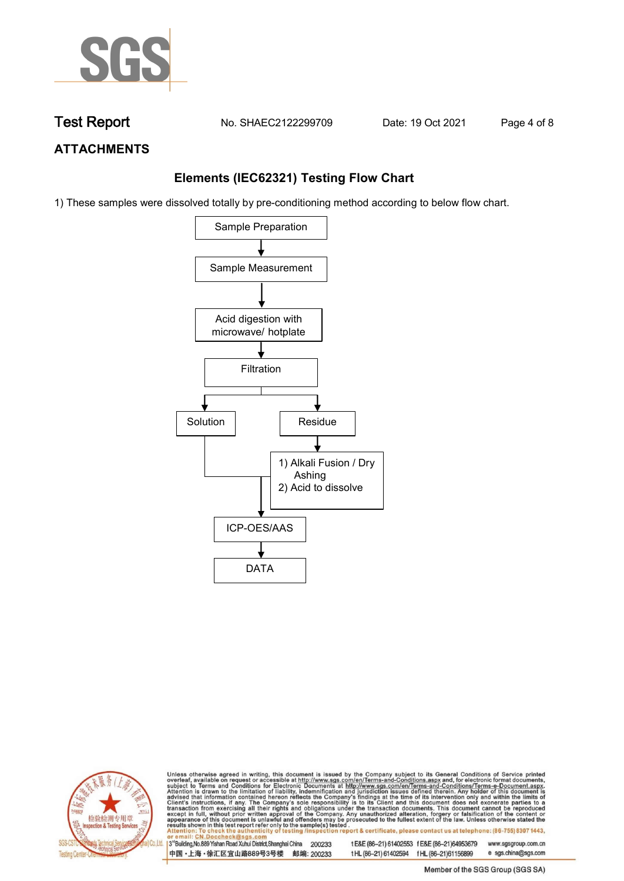

**Test Report. No. SHAEC2122299709 Date: 19 Oct 2021. Page 4 of 8.**

# **ATTACHMENTS**

## **Elements (IEC62321) Testing Flow Chart**

1) These samples were dissolved totally by pre-conditioning method according to below flow chart.





Unless otherwise agreed in writing, this document is issued by the Company subject to its General Conditions of Service printed overleaf, available on request or accessible at http://www.sgs.com/en/Terms-and-Conditions.asp

3<sup>rd</sup> Building, No.889 Yishan Road Xuhui District, Shanghai China 200233 中国·上海·徐汇区宜山路889号3号楼 邮编: 200233 tE&E (86-21) 61402553 fE&E (86-21)64953679 www.sgsgroup.com.cn e sgs.china@sgs.com t HL (86-21) 61402594 f HL (86-21) 61156899

Member of the SGS Group (SGS SA)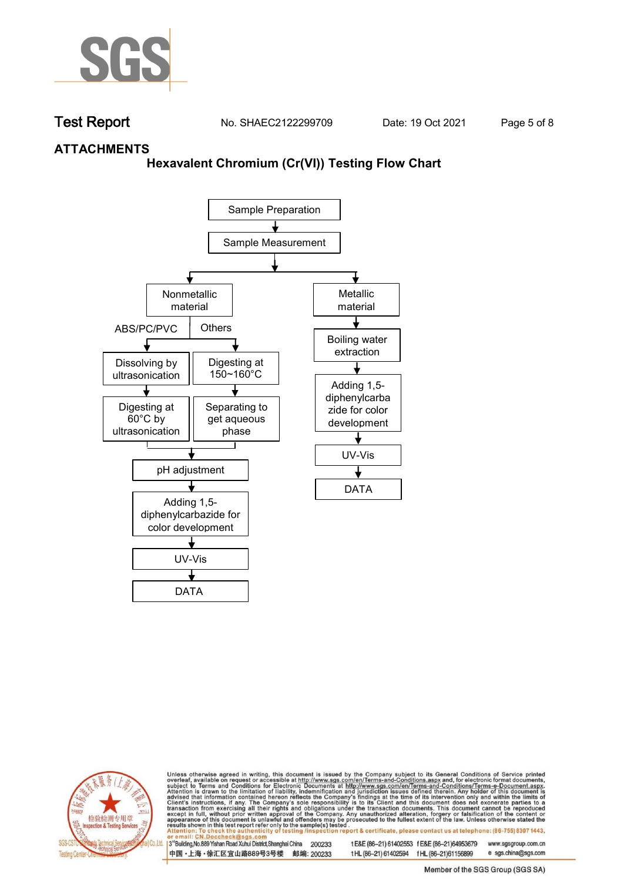

**Test Report. No. SHAEC2122299709 Date: 19 Oct 2021. Page 5 of 8.**

## **ATTACHMENTS**

### **Hexavalent Chromium (Cr(VI)) Testing Flow Chart**





Unless otherwise agreed in writing, this document is issued by the Company subject to its General Conditions of Service printed overleaf, available on request or accessible at http://www.sgs.com/en/Terms-and-Conditions.asp

3<sup>rd</sup> Building, No.889 Yishan Road Xuhui District, Shanghai China 200233 中国·上海·徐汇区宜山路889号3号楼 邮编: 200233 tE&E (86-21) 61402553 fE&E (86-21)64953679 www.sgsgroup.com.cn

t HL (86-21) 61402594 f HL (86-21) 61156899 e sgs.china@sgs.com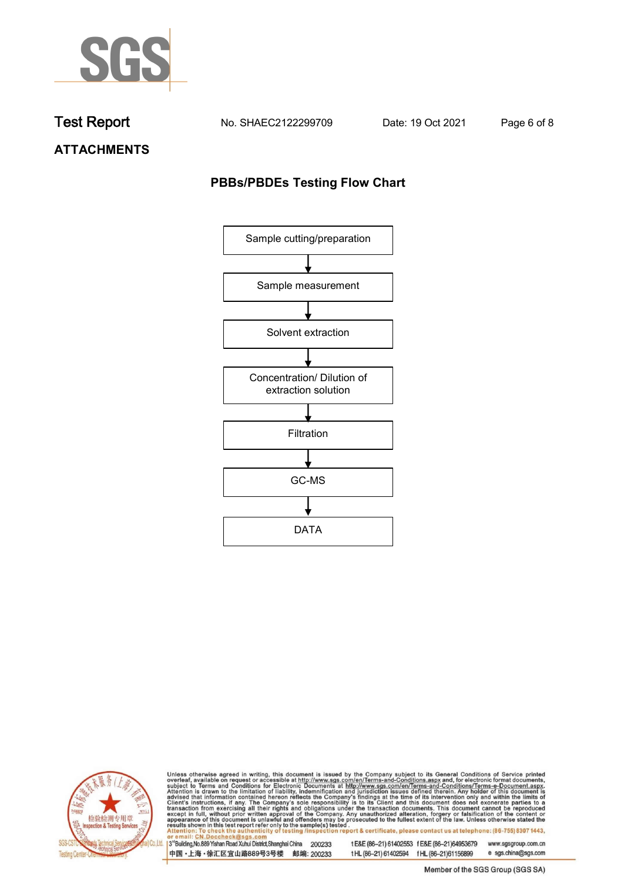

**Test Report. No. SHAEC2122299709 Date: 19 Oct 2021. Page 6 of 8.**

**ATTACHMENTS**

## **PBBs/PBDEs Testing Flow Chart**





Unless otherwise agreed in writing, this document is issued by the Company subject to its General Conditions of Service printed overleaf, available on request or accessible at http://www.sgs.com/en/Terms-and-Conditions.asp

3<sup>'</sup>Building, No.889 Yishan Road Xuhui District, Shanghai China 200233 中国·上海·徐汇区宜山路889号3号楼 邮编: 200233

tE&E (86-21) 61402553 fE&E (86-21)64953679 www.sgsgroup.com.cn

t HL (86-21) 61402594 f HL (86-21) 61156899 e sgs.china@sgs.com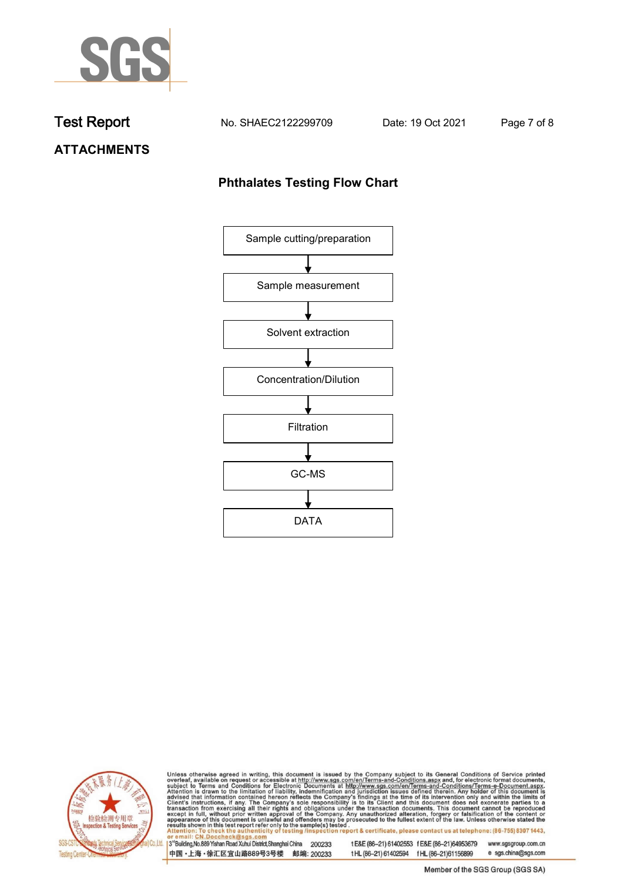

**Test Report. No. SHAEC2122299709 Date: 19 Oct 2021. Page 7 of 8.**

# **ATTACHMENTS**

## **Phthalates Testing Flow Chart**





Unless otherwise agreed in writing, this document is issued by the Company subject to its General Conditions of Service printed overleaf, available on request or accessible at http://www.sgs.com/en/Terms-and-Conditions.asp

3<sup>'</sup>Building, No.889 Yishan Road Xuhui District, Shanghai China 200233 中国·上海·徐汇区宜山路889号3号楼 邮编: 200233

tE&E (86-21) 61402553 fE&E (86-21)64953679 www.sgsgroup.com.cn

e sgs.china@sgs.com t HL (86-21) 61402594 f HL (86-21) 61156899